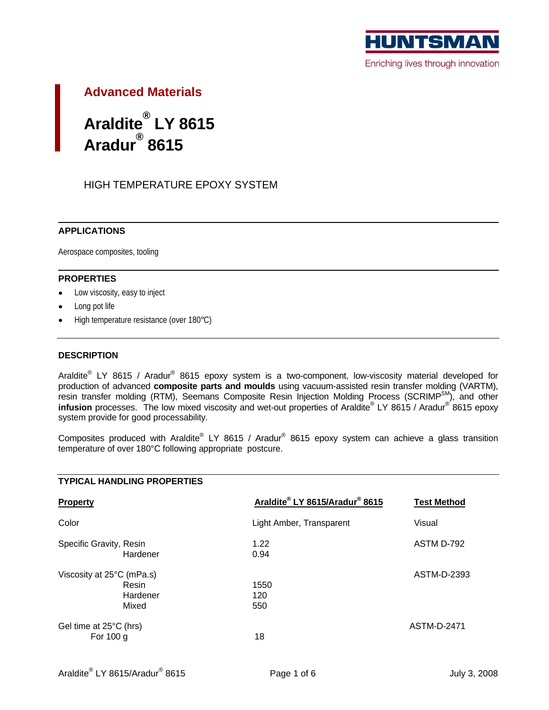

# **Advanced Materials**

#### Araldite<sup>®</sup> LY 8615 **® LY 8615 Aradur ® 8615**

## HIGH TEMPERATURE EPOXY SYSTEM

#### **APPLICATIONS**

Aerospace composites, tooling

#### **PROPERTIES**

- Low viscosity, easy to inject  $\bullet$
- Long pot life
- High temperature resistance (over 180°C)

### **DESCRIPTION**

Araldite<sup>®</sup> LY 8615 / Aradur<sup>®</sup> 8615 epoxy system is a two-component, low-viscosity material developed for production of advanced **composite parts and moulds** using vacuum-assisted resin transfer molding (VARTM), resin transfer molding (RTM), Seemans Composite Resin Injection Molding Process (SCRIMP<sup>SM</sup>), and other s<sup>M</sup>), and other **infusion** processes. The low mixed viscosity and wet-out properties of Araldite® LY 8615 / Aradur<sup>®</sup> 8615 epoxy LY 8615 / Aradur $^\circledR$  8615 epoxy 8615 epoxy system provide for good processability.

Composites produced with Araldite® LY 8615 / Aradur® 8615 epoxy system can achieve a glass transition temperature of over 180°C following appropriate postcure.

| <b>TYPICAL HANDLING PROPERTIES</b>  |                                       |                    |
|-------------------------------------|---------------------------------------|--------------------|
| Property                            | <u>Araldite® LY 8615/Aradur® 8615</u> | <b>Test Method</b> |
| Color                               | Light Amber, Transparent              | Visual             |
| Specific Gravity, Resin<br>Hardener | 1.22<br>0.94                          | ASTM D-792         |
| Viscosity at 25°C (mPa.s)           |                                       | ASTM-D-2393        |
| Resin<br>Hardener<br>Mixed          | 1550<br>120<br>550                    |                    |
| Gel time at 25°C (hrs)              |                                       | <b>ASTM-D-2471</b> |
| For 100 g                           |                                       |                    |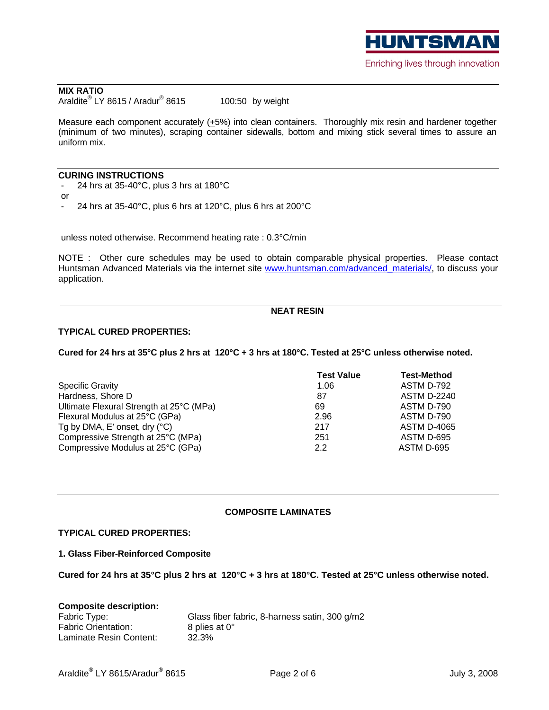

#### **MIX RATIO** Araldite $^{\circledR}$  LY 8615 / Aradur $^{\circledR}$  8615  $\hskip1cm$  100:50 by weight LY 8615 / Aradur<sup>®</sup> 8615  $100:50$  by weight

8615 100:50 by weight and the control of the control of the control of the control of the control of the control of the control of the control of the control of the control of the control of the control of the control of t

Measure each component accurately  $(+5%)$  into clean containers. Thoroughly mix resin and hardener together (minimum of two minutes), scraping container sidewalls, bottom and mixing stick several times to assure an uniform mix.

#### **CURING INSTRUCTIONS**

- 24 hrs at 35-40°C, plus 3 hrs at 180°C

or the contract of the contract of the contract of the contract of the contract of the contract of the contract of the contract of the contract of the contract of the contract of the contract of the contract of the contrac 24 hrs at  $35-40^{\circ}$ C, plus 6 hrs at  $120^{\circ}$ C, plus 6 hrs at  $200^{\circ}$ C

unless noted otherwise. Recommend heating rate : 0.3°C/min

NOTE : Other cure schedules may be used to obtain comparable physical properties. Please contact Huntsman Advanced Materials via the internet site www.huntsman.com/advanced\_materials/, to discuss your application.

#### **NEAT RESIN**

#### **TYPICAL CURED PROPERTIES:**

**Cured for 24 hrs at 35°C plus 2 hrs at 120°C + 3 hrs at 180°C. Tested at 25°C unless otherwise noted.**

|                                          | est Value | <b>Test-Method</b> |
|------------------------------------------|-----------|--------------------|
| <b>Specific Gravity</b>                  |           | ASTM D-792         |
| Hardness, Shore D                        |           | <b>ASTM D-2240</b> |
| Ultimate Flexural Strength at 25°C (MPa) |           | ASTM D-790         |
| Flexural Modulus at 25°C (GPa)           |           | ASTM D-790         |
| Tg by DMA, E' onset, dry (°C)            |           | <b>ASTM D-4065</b> |
| Compressive Strength at 25°C (MPa)       |           | ASTM D-695         |
| Compressive Modulus at 25°C (GPa)        |           | ASTM D-695         |

#### **COMPOSITE LAMINATES**

#### **TYPICAL CURED PROPERTIES:**

**1. Glass Fiber-Reinforced Composite**

**Cured for 24 hrs at 35°C plus 2 hrs at 120°C + 3 hrs at 180°C. Tested at 25°C unless otherwise noted.**

| <b>Composite description:</b>                                 |
|---------------------------------------------------------------|
| Fabric Type:<br>Glass fiber fabric, 8-harness satin, 300 g/m2 |
| Fabric Orientation:<br>8 plies at 0°                          |
| Laminate Resin Content:<br>32.3%                              |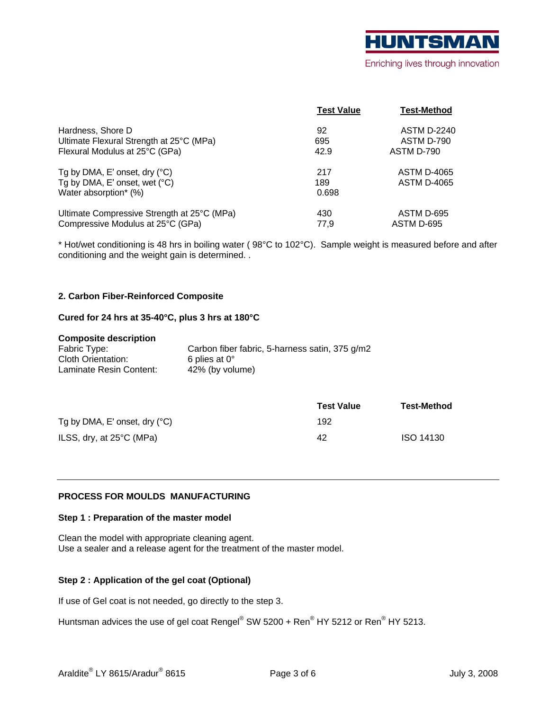

|                                             | <b>Test Value</b> | <b>Test-Method</b> |
|---------------------------------------------|-------------------|--------------------|
| Hardness, Shore D                           |                   | <b>ASTM D-2240</b> |
| Ultimate Flexural Strength at 25°C (MPa)    | 595               | ASTM D-790         |
| Flexural Modulus at 25°C (GPa)              | 42.9              | ASTM D-790         |
| Tg by DMA, E' onset, dry (°C)               |                   | <b>ASTM D-4065</b> |
| Tg by DMA, E' onset, wet (°C)               |                   | <b>ASTM D-4065</b> |
| Water absorption* (%)                       | 0.698             |                    |
| Ultimate Compressive Strength at 25°C (MPa) |                   | ASTM D-695         |
| Compressive Modulus at 25°C (GPa)           | 77,5              | ASTM D-695         |

\* Hot/wet conditioning is 48 hrs in boiling water ( 98°C to 102°C). Sample weight is measured before and after conditioning and the weight gain is determined. .

### **2. Carbon Fiber-Reinforced Composite**

#### **Cured for 24 hrs at 35-40°C, plus 3 hrs at 180°C**

#### **Composite description**

| Fabric Type:            | Carbon fiber fabric, 5-harness satin, 375 g/m2 |
|-------------------------|------------------------------------------------|
| Cloth Orientation:      | 6 plies at $0^\circ$                           |
| Laminate Resin Content: | 42% (by volume)                                |

|                               | <b>Test Value</b> | <b>Test-Method</b> |
|-------------------------------|-------------------|--------------------|
| Tg by DMA, E' onset, dry (°C) |                   |                    |
| ILSS, dry, at 25°C (MPa)      |                   | ISO 14130          |

### **PROCESS FOR MOULDS MANUFACTURING**

#### **Step 1 : Preparation of the master model**

Clean the model with appropriate cleaning agent. Use a sealer and a release agent for the treatment of the master model.

#### **Step 2 : Application of the gel coat (Optional)**

If use of Gel coat is not needed, go directly to the step 3.

Huntsman advices the use of gel coat Rengel $^\circ$  SW 5200 + Ren $^\circ$  HY 5212 or Ren $^\circ$  HY 5213. HY 5212 or  $\mathsf{Ren}^\circledR$  HY 5213.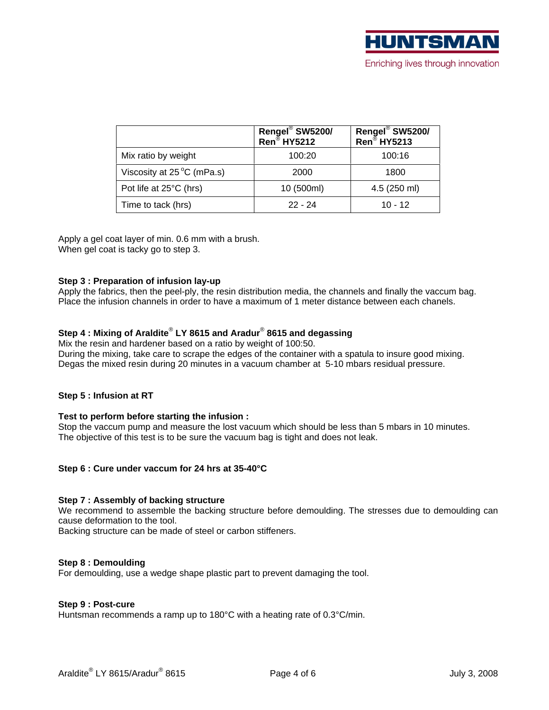|                                     | $ $ Rengel® SW5200/<br>Ren® HY5212 | Rengel <sup>®</sup> SW5200/<br>Ren® HY5213 |
|-------------------------------------|------------------------------------|--------------------------------------------|
| Mix ratio by weight                 | 100:20                             | 100:16                                     |
| Viscosity at $25^{\circ}$ C (mPa.s) | 2000                               | 1800                                       |
| Pot life at 25°C (hrs)              | 10 (500ml)                         | 4.5 (250 ml)                               |
| Time to tack (hrs)                  | $22 - 24$                          | $10 - 12$                                  |

Apply a gel coat layer of min. 0.6 mm with a brush. When gel coat is tacky go to step 3.

#### **Step 3 : Preparation of infusion lay-up**

Apply the fabrics, then the peel-ply, the resin distribution media, the channels and finally the vaccum bag. Place the infusion channels in order to have a maximum of 1 meter distance between each chanels.

#### **Step 4 : Mixing of Araldite**®  **LY 8615 and Aradur**®  **8615 and degassing**

Mix the resin and hardener based on a ratio by weight of 100:50. During the mixing, take care to scrape the edges of the container with a spatula to insure good mixing. Degas the mixed resin during 20 minutes in a vacuum chamber at 5-10 mbars residual pressure.

#### **Step 5 : Infusion at RT**

#### **Test to perform before starting the infusion :**

Stop the vaccum pump and measure the lost vacuum which should be less than 5 mbars in 10 minutes. The objective of this test is to be sure the vacuum bag is tight and does not leak.

#### **Step 6 : Cure under vaccum for 24 hrs at 35-40°C**

#### **Step 7 : Assembly of backing structure**

We recommend to assemble the backing structure before demoulding. The stresses due to demoulding can cause deformation to the tool.

Backing structure can be made of steel or carbon stiffeners.

#### **Step 8 : Demoulding**

For demoulding, use a wedge shape plastic part to prevent damaging the tool.

#### **Step 9 : Post-cure**

Huntsman recommends a ramp up to 180°C with a heating rate of 0.3°C/min.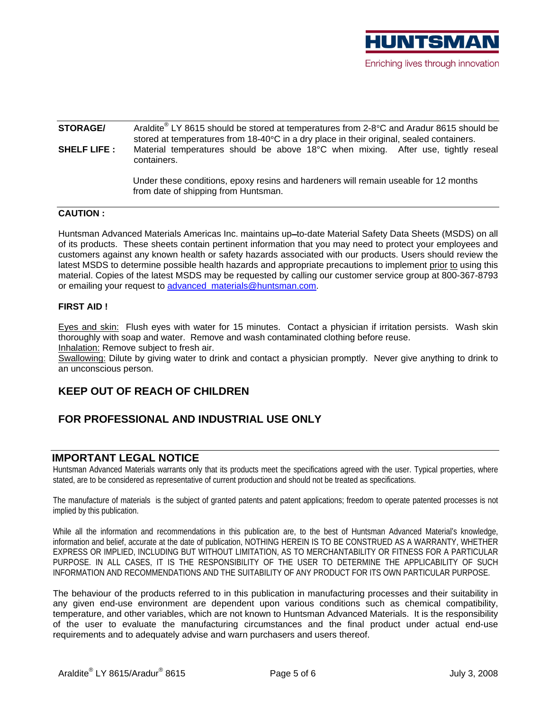

## **STORAGE/** Araldite® LY 8615 should be stored at temperatures from 2-8°C and Aradur 8615 should be stored at temperatures from  $18-40^{\circ}$ C in a dry place in their original, sealed containers. **SHELF LIFE :** Material temperatures should be above 18°C when mixing. After use, tightly reseal containers. The containers of the containers of the containers of the containers of the containers of the containers of the containers of the containers of the containers of the containers of the containers of the containe

 Under these conditions, epoxy resins and hardeners will remain useable for 12 months from date of shipping from Huntsman.

### **CAUTION :**

Huntsman Advanced Materials Americas Inc. maintains up-to-date Material Safety Data Sheets (MSDS) on all of its products. These sheets contain pertinent information that you may need to protect your employees and customers against any known health or safety hazards associated with our products. Users should review the latest MSDS to determine possible health hazards and appropriate precautions to implement prior to using this material. Copies of the latest MSDS may be requested by calling our customer service group at 800-367-8793 or emailing your request to advanced materials@huntsman.com.

### **FIRST AID !**

Eyes and skin: Flush eyes with water for 15 minutes. Contact a physician if irritation persists. Wash skin thoroughly with soap and water. Remove and wash contaminated clothing before reuse.

Inhalation: Remove subject to fresh air.

Swallowing: Dilute by giving water to drink and contact a physician promptly. Never give anything to drink to an unconscious person.

## **KEEP OUT OF REACH OF CHILDREN**

## **FOR PROFESSIONAL AND INDUSTRIAL USE ONLY**

## **IMPORTANT LEGAL NOTICE**

Huntsman Advanced Materials warrants only that its products meet the specifications agreed with the user. Typical properties, where stated, are to be considered as representative of current production and should not be treated as specifications.

The manufacture of materials is the subject of granted patents and patent applications; freedom to operate patented processes is not implied by this publication.

While all the information and recommendations in this publication are, to the best of Huntsman Advanced Material's knowledge, information and belief, accurate at the date of publication, NOTHING HEREIN IS TO BE CONSTRUED AS A WARRANTY, WHETHER EXPRESS OR IMPLIED, INCLUDING BUT WITHOUT LIMITATION, AS TO MERCHANTABILITY OR FITNESS FOR A PARTICULAR PURPOSE. IN ALL CASES, IT IS THE RESPONSIBILITY OF THE USER TO DETERMINE THE APPLICABILITY OF SUCH INFORMATION AND RECOMMENDATIONS AND THE SUITABILITY OF ANY PRODUCT FOR ITS OWN PARTICULAR PURPOSE.

The behaviour of the products referred to in this publication in manufacturing processes and their suitability in any given end-use environment are dependent upon various conditions such as chemical compatibility, temperature, and other variables, which are not known to Huntsman Advanced Materials. It is the responsibility of the user to evaluate the manufacturing circumstances and the final product under actual end-use requirements and to adequately advise and warn purchasers and users thereof.